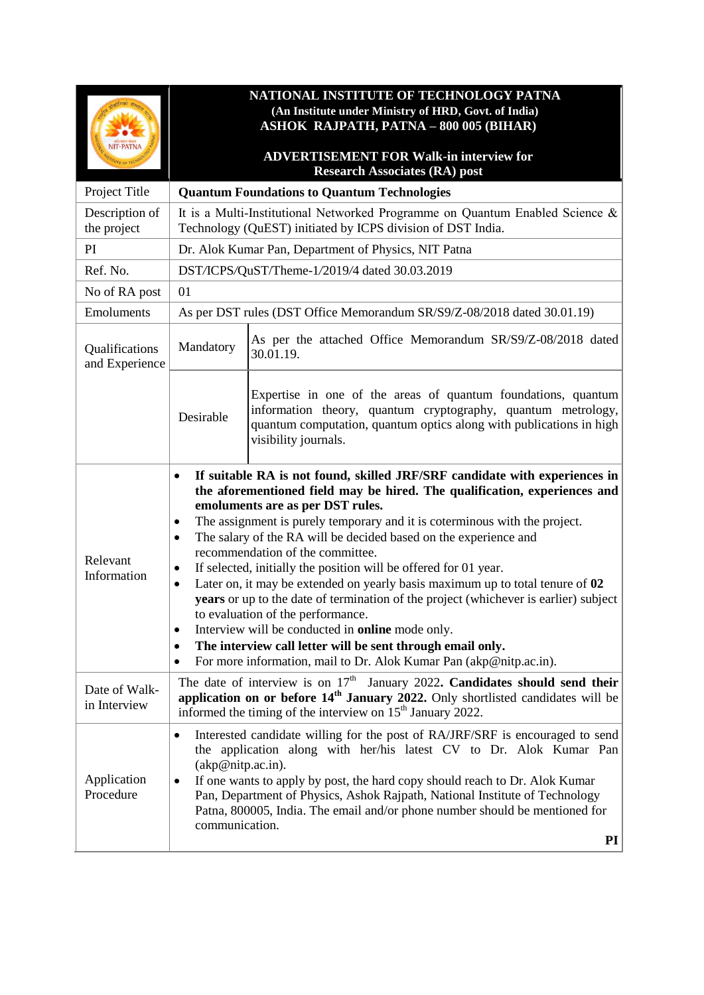| <b>NIT-PATNA</b>                 | NATIONAL INSTITUTE OF TECHNOLOGY PATNA<br>(An Institute under Ministry of HRD, Govt. of India)<br><b>ASHOK RAJPATH, PATNA - 800 005 (BIHAR)</b><br><b>ADVERTISEMENT FOR Walk-in interview for</b><br><b>Research Associates (RA) post</b>                                                                                                                                                                                                                                                                                                                                                                                                                                                                                                                                                                                                                                                                                     |                                                                                                                                                                                                                              |  |
|----------------------------------|-------------------------------------------------------------------------------------------------------------------------------------------------------------------------------------------------------------------------------------------------------------------------------------------------------------------------------------------------------------------------------------------------------------------------------------------------------------------------------------------------------------------------------------------------------------------------------------------------------------------------------------------------------------------------------------------------------------------------------------------------------------------------------------------------------------------------------------------------------------------------------------------------------------------------------|------------------------------------------------------------------------------------------------------------------------------------------------------------------------------------------------------------------------------|--|
| Project Title                    | <b>Quantum Foundations to Quantum Technologies</b>                                                                                                                                                                                                                                                                                                                                                                                                                                                                                                                                                                                                                                                                                                                                                                                                                                                                            |                                                                                                                                                                                                                              |  |
| Description of<br>the project    | It is a Multi-Institutional Networked Programme on Quantum Enabled Science &<br>Technology (QuEST) initiated by ICPS division of DST India.                                                                                                                                                                                                                                                                                                                                                                                                                                                                                                                                                                                                                                                                                                                                                                                   |                                                                                                                                                                                                                              |  |
| PI                               | Dr. Alok Kumar Pan, Department of Physics, NIT Patna                                                                                                                                                                                                                                                                                                                                                                                                                                                                                                                                                                                                                                                                                                                                                                                                                                                                          |                                                                                                                                                                                                                              |  |
| Ref. No.                         | DST/ICPS/QuST/Theme-1/2019/4 dated 30.03.2019                                                                                                                                                                                                                                                                                                                                                                                                                                                                                                                                                                                                                                                                                                                                                                                                                                                                                 |                                                                                                                                                                                                                              |  |
| No of RA post                    | 01                                                                                                                                                                                                                                                                                                                                                                                                                                                                                                                                                                                                                                                                                                                                                                                                                                                                                                                            |                                                                                                                                                                                                                              |  |
| Emoluments                       | As per DST rules (DST Office Memorandum SR/S9/Z-08/2018 dated 30.01.19)                                                                                                                                                                                                                                                                                                                                                                                                                                                                                                                                                                                                                                                                                                                                                                                                                                                       |                                                                                                                                                                                                                              |  |
| Qualifications<br>and Experience | Mandatory                                                                                                                                                                                                                                                                                                                                                                                                                                                                                                                                                                                                                                                                                                                                                                                                                                                                                                                     | As per the attached Office Memorandum SR/S9/Z-08/2018 dated<br>30.01.19.                                                                                                                                                     |  |
|                                  | Desirable                                                                                                                                                                                                                                                                                                                                                                                                                                                                                                                                                                                                                                                                                                                                                                                                                                                                                                                     | Expertise in one of the areas of quantum foundations, quantum<br>information theory, quantum cryptography, quantum metrology,<br>quantum computation, quantum optics along with publications in high<br>visibility journals. |  |
| Relevant<br>Information          | If suitable RA is not found, skilled JRF/SRF candidate with experiences in<br>$\bullet$<br>the aforementioned field may be hired. The qualification, experiences and<br>emoluments are as per DST rules.<br>The assignment is purely temporary and it is coterminous with the project.<br>$\bullet$<br>The salary of the RA will be decided based on the experience and<br>$\bullet$<br>recommendation of the committee.<br>If selected, initially the position will be offered for 01 year.<br>٠<br>Later on, it may be extended on yearly basis maximum up to total tenure of 02<br>٠<br>years or up to the date of termination of the project (whichever is earlier) subject<br>to evaluation of the performance.<br>Interview will be conducted in <b>online</b> mode only.<br>٠<br>The interview call letter will be sent through email only.<br>٠<br>For more information, mail to Dr. Alok Kumar Pan (akp@nitp.ac.in). |                                                                                                                                                                                                                              |  |
| Date of Walk-<br>in Interview    | The date of interview is on $17th$ January 2022. Candidates should send their<br>application on or before 14 <sup>th</sup> January 2022. Only shortlisted candidates will be<br>informed the timing of the interview on 15 <sup>th</sup> January 2022.                                                                                                                                                                                                                                                                                                                                                                                                                                                                                                                                                                                                                                                                        |                                                                                                                                                                                                                              |  |
| Application<br>Procedure         | Interested candidate willing for the post of RA/JRF/SRF is encouraged to send<br>$\bullet$<br>the application along with her/his latest CV to Dr. Alok Kumar Pan<br>(akp@nity.ac.in).<br>If one wants to apply by post, the hard copy should reach to Dr. Alok Kumar<br>٠<br>Pan, Department of Physics, Ashok Rajpath, National Institute of Technology<br>Patna, 800005, India. The email and/or phone number should be mentioned for<br>communication.<br>PI                                                                                                                                                                                                                                                                                                                                                                                                                                                               |                                                                                                                                                                                                                              |  |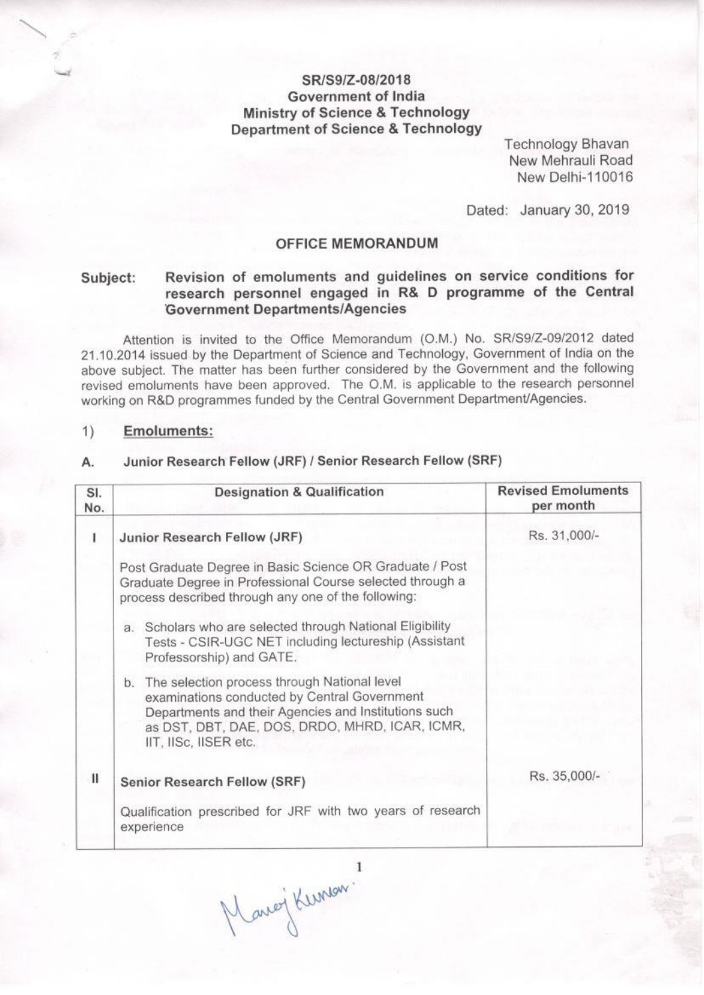## SR/S9/Z-08/2018 Government of India **Ministry of Science & Technology Department of Science & Technology**

**Technology Bhavan** New Mehrauli Road New Delhi-110016

Dated: January 30, 2019

### **OFFICE MEMORANDUM**

### Revision of emoluments and guidelines on service conditions for Subject: research personnel engaged in R& D programme of the Central **Government Departments/Agencies**

Attention is invited to the Office Memorandum (O.M.) No. SR/S9/Z-09/2012 dated 21.10.2014 issued by the Department of Science and Technology, Government of India on the above subject. The matter has been further considered by the Government and the following revised emoluments have been approved. The O.M. is applicable to the research personnel working on R&D programmes funded by the Central Government Department/Agencies.

#### $1)$ **Emoluments:**

#### Junior Research Fellow (JRF) / Senior Research Fellow (SRF) А.

| SI.<br>No.   | <b>Designation &amp; Qualification</b>                                                                                                                                                                                             | <b>Revised Emoluments</b><br>per month |
|--------------|------------------------------------------------------------------------------------------------------------------------------------------------------------------------------------------------------------------------------------|----------------------------------------|
| ı            | Junior Research Fellow (JRF)                                                                                                                                                                                                       | Rs. 31,000/-                           |
|              | Post Graduate Degree in Basic Science OR Graduate / Post<br>Graduate Degree in Professional Course selected through a<br>process described through any one of the following:                                                       |                                        |
|              | a. Scholars who are selected through National Eligibility<br>Tests - CSIR-UGC NET including lectureship (Assistant<br>Professorship) and GATE.                                                                                     |                                        |
|              | b. The selection process through National level<br>examinations conducted by Central Government<br>Departments and their Agencies and Institutions such<br>as DST, DBT, DAE, DOS, DRDO, MHRD, ICAR, ICMR,<br>IIT, IISc, IISER etc. |                                        |
| $\mathbf{H}$ | <b>Senior Research Fellow (SRF)</b>                                                                                                                                                                                                | Rs. 35,000/-                           |
|              | Qualification prescribed for JRF with two years of research<br>experience                                                                                                                                                          |                                        |

Marci Kunson!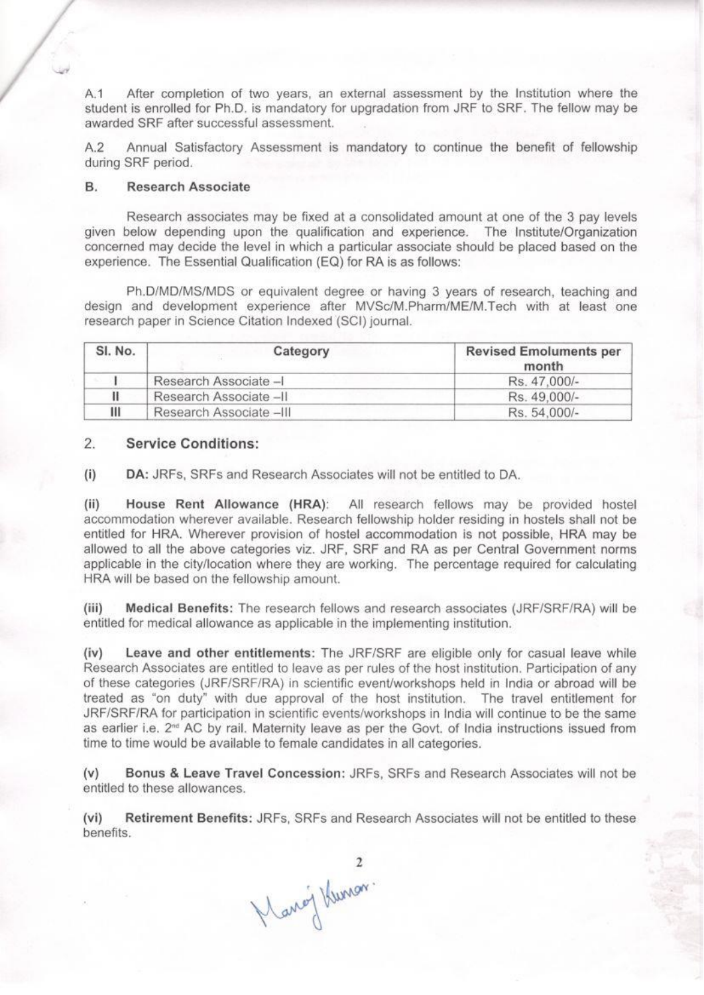A.1 After completion of two years, an external assessment by the Institution where the student is enrolled for Ph.D. is mandatory for upgradation from JRF to SRF. The fellow may be awarded SRF after successful assessment.

Annual Satisfactory Assessment is mandatory to continue the benefit of fellowship  $A.2$ during SRF period.

#### **B. Research Associate**

Research associates may be fixed at a consolidated amount at one of the 3 pay levels given below depending upon the qualification and experience. The Institute/Organization concerned may decide the level in which a particular associate should be placed based on the experience. The Essential Qualification (EQ) for RA is as follows:

Ph.D/MD/MS/MDS or equivalent degree or having 3 years of research, teaching and design and development experience after MVSc/M.Pharm/ME/M.Tech with at least one research paper in Science Citation Indexed (SCI) journal.

| SI. No. | Category                | <b>Revised Emoluments per</b><br>month |
|---------|-------------------------|----------------------------------------|
|         | Research Associate -I   | Rs. 47.000/-                           |
|         | Research Associate -II  | Rs. 49.000/-                           |
| Ш       | Research Associate -III | Rs. 54.000/-                           |

#### 2. **Service Conditions:**

 $(i)$ DA: JRFs, SRFs and Research Associates will not be entitled to DA.

 $(ii)$ House Rent Allowance (HRA): All research fellows may be provided hostel accommodation wherever available. Research fellowship holder residing in hostels shall not be entitled for HRA. Wherever provision of hostel accommodation is not possible, HRA may be allowed to all the above categories viz. JRF, SRF and RA as per Central Government norms applicable in the city/location where they are working. The percentage required for calculating HRA will be based on the fellowship amount.

Medical Benefits: The research fellows and research associates (JRF/SRF/RA) will be  $(iii)$ entitled for medical allowance as applicable in the implementing institution.

Leave and other entitlements: The JRF/SRF are eligible only for casual leave while  $(iv)$ Research Associates are entitled to leave as per rules of the host institution. Participation of any of these categories (JRF/SRF/RA) in scientific event/workshops held in India or abroad will be treated as "on duty" with due approval of the host institution. The travel entitlement for JRF/SRF/RA for participation in scientific events/workshops in India will continue to be the same as earlier i.e. 2<sup>nd</sup> AC by rail. Maternity leave as per the Govt. of India instructions issued from time to time would be available to female candidates in all categories.

Bonus & Leave Travel Concession: JRFs. SRFs and Research Associates will not be  $(v)$ entitled to these allowances.

Retirement Benefits: JRFs, SRFs and Research Associates will not be entitled to these  $(vi)$ benefits.

2<br>Mang Kunon.